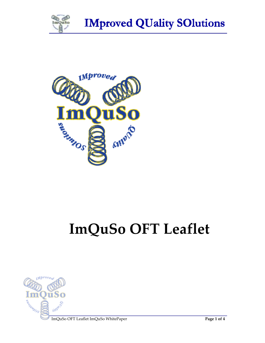

**IMproved QUality SOlutions** 



# **ImQuSo OFT Leaflet**



ImQuSo OFT Leaflet ImQuSo WhitePaper **Page 1 of 4**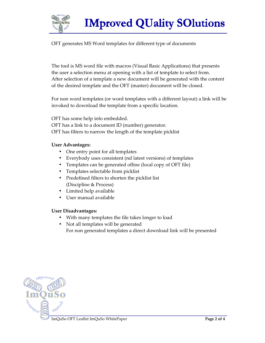

OFT generates MS Word templates for different type of documents

The tool is MS word file with macros (Visual Basic Applications) that presents the user a selection menu at opening with a list of template to select from. After selection of a template a new document will be generated with the content of the desired template and the OFT (master) document will be closed.

For non word templates (or word templates with a different layout) a link will be invoked to download the template from a specific location.

OFT has some help info embedded. OFT has a link to a document ID (number) generator. OFT has filters to narrow the length of the template picklist

### **User Advantages:**

- One entry point for all templates
- Everybody uses consistent (nd latest versions) of templates
- Templates can be generated ofline (local copy of OFT file)
- Templates selectable from picklist
- Predefined filters to shorten the picklist list (Discipline & Process)
- Limited help available
- User manual available

### **User Disadvantages:**

- With many templates the file takes longer to load
- Not all templates will be generated For non generated templates a direct download link will be presented

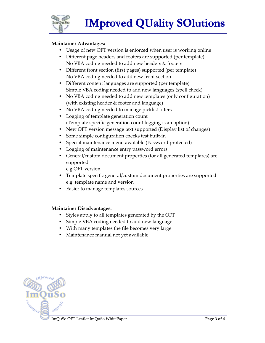

**IMproved QUality SOlutions** 

### **Maintainer Advantages:**

- Usage of new OFT version is enforced when user is working online
- Different page headers and footers are supported (per template) No VBA coding needed to add new headers & footers
- Different front section (first pages) supported (per template) No VBA coding needed to add new front section
- Different content languages are supported (per template) Simple VBA coding needed to add new languages (spell check)
- No VBA coding needed to add new templates (only configuration) (with existing header & footer and language)
- No VBA coding needed to manage picklist filters
- Logging of template generation count (Template specific generation count logging is an option)
- New OFT version message text supported (Display list of changes)
- Some simple configuration checks test built-in
- Special maintenance menu available (Password protected)
- Logging of maintenance entry password errors
- General/custom document properties (for all generated templares) are supported
	- e.g OFT version
- Template specific general/custom document properties are supported e.g. template name and version
- Easier to manage templates sources

#### **Maintainer Disadvantages:**

- Styles apply to all templates generated by the OFT
- Simple VBA coding needed to add new language
- With many templates the file becomes very large
- Maintenance manual not yet available